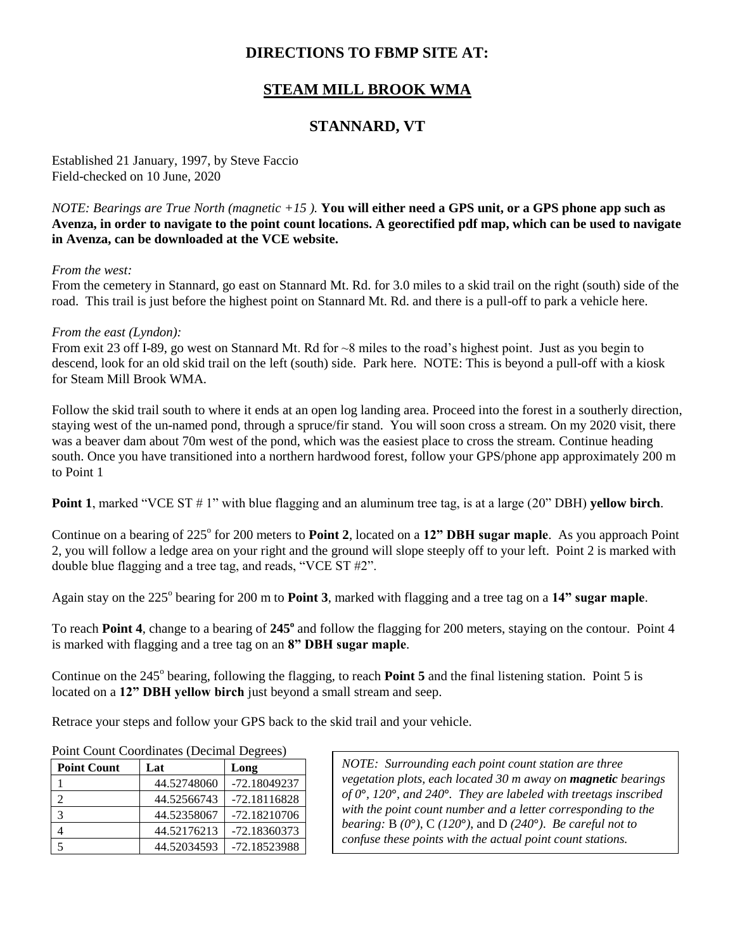# **DIRECTIONS TO FBMP SITE AT:**

# **STEAM MILL BROOK WMA**

## **STANNARD, VT**

Established 21 January, 1997, by Steve Faccio Field-checked on 10 June, 2020

*NOTE: Bearings are True North (magnetic +15 ).* **You will either need a GPS unit, or a GPS phone app such as Avenza, in order to navigate to the point count locations. A georectified pdf map, which can be used to navigate in Avenza, can be downloaded at the VCE website.**

### *From the west:*

From the cemetery in Stannard, go east on Stannard Mt. Rd. for 3.0 miles to a skid trail on the right (south) side of the road. This trail is just before the highest point on Stannard Mt. Rd. and there is a pull-off to park a vehicle here.

#### *From the east (Lyndon):*

From exit 23 off I-89, go west on Stannard Mt. Rd for ~8 miles to the road's highest point. Just as you begin to descend, look for an old skid trail on the left (south) side. Park here. NOTE: This is beyond a pull-off with a kiosk for Steam Mill Brook WMA.

Follow the skid trail south to where it ends at an open log landing area. Proceed into the forest in a southerly direction, staying west of the un-named pond, through a spruce/fir stand. You will soon cross a stream. On my 2020 visit, there was a beaver dam about 70m west of the pond, which was the easiest place to cross the stream. Continue heading south. Once you have transitioned into a northern hardwood forest, follow your GPS/phone app approximately 200 m to Point 1

**Point 1**, marked "VCE ST # 1" with blue flagging and an aluminum tree tag, is at a large (20" DBH) **yellow birch**.

Continue on a bearing of 225° for 200 meters to **Point 2**, located on a 12" **DBH sugar maple**. As you approach Point 2, you will follow a ledge area on your right and the ground will slope steeply off to your left. Point 2 is marked with double blue flagging and a tree tag, and reads, "VCE ST #2".

Again stay on the 225<sup>°</sup> bearing for 200 m to **Point 3**, marked with flagging and a tree tag on a 14" sugar maple.

To reach **Point 4**, change to a bearing of **245<sup>o</sup>** and follow the flagging for 200 meters, staying on the contour. Point 4 is marked with flagging and a tree tag on an **8" DBH sugar maple**.

Continue on the 245<sup>°</sup> bearing, following the flagging, to reach **Point 5** and the final listening station. Point 5 is located on a **12" DBH yellow birch** just beyond a small stream and seep.

Retrace your steps and follow your GPS back to the skid trail and your vehicle.

| <b>Point Count</b> | Lat         | Long           |
|--------------------|-------------|----------------|
|                    | 44.52748060 | -72.18049237   |
|                    | 44.52566743 | $-72.18116828$ |
| 3                  | 44.52358067 | $-72.18210706$ |
|                    | 44.52176213 | -72.18360373   |
|                    | 44.52034593 | -72.18523988   |

Point Count Coordinates (Decimal Degrees)

*NOTE: Surrounding each point count station are three vegetation plots, each located 30 m away on magnetic bearings of 0***°***, 120***°***, and 240***°***. They are labeled with treetags inscribed with the point count number and a letter corresponding to the bearing:* B *(0***°***)*, C *(120***°***)*, and D *(240***°***)*. *Be careful not to confuse these points with the actual point count stations.*